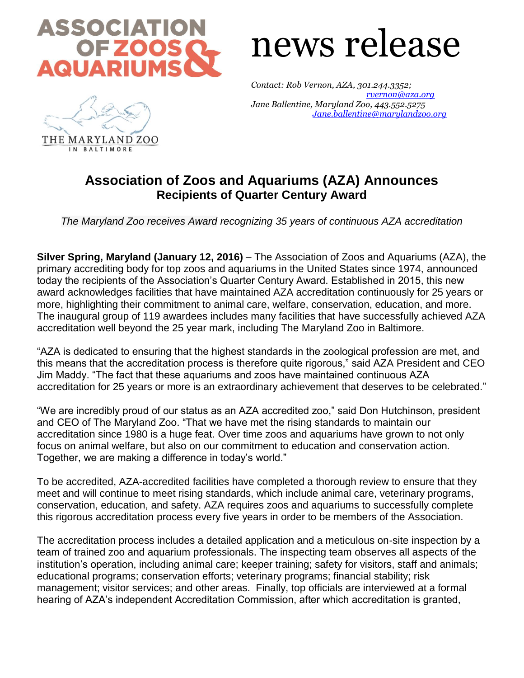

## news release

*Contact: Rob Vernon, AZA, 301.244.3352; [rvernon@aza.org](mailto:rvernon@aza.org) Jane Ballentine, Maryland Zoo, 443.552.5275 [Jane.ballentine@marylandzoo.org](mailto:Jane.ballentine@marylandzoo.org)*



## **Association of Zoos and Aquariums (AZA) Announces Recipients of Quarter Century Award**

*The Maryland Zoo receives Award recognizing 35 years of continuous AZA accreditation*

**Silver Spring, Maryland (January 12, 2016)** – The Association of Zoos and Aquariums (AZA), the primary accrediting body for top zoos and aquariums in the United States since 1974, announced today the recipients of the Association's Quarter Century Award. Established in 2015, this new award acknowledges facilities that have maintained AZA accreditation continuously for 25 years or more, highlighting their commitment to animal care, welfare, conservation, education, and more. The inaugural group of 119 awardees includes many facilities that have successfully achieved AZA accreditation well beyond the 25 year mark, including The Maryland Zoo in Baltimore.

"AZA is dedicated to ensuring that the highest standards in the zoological profession are met, and this means that the accreditation process is therefore quite rigorous," said AZA President and CEO Jim Maddy. "The fact that these aquariums and zoos have maintained continuous AZA accreditation for 25 years or more is an extraordinary achievement that deserves to be celebrated."

"We are incredibly proud of our status as an AZA accredited zoo," said Don Hutchinson, president and CEO of The Maryland Zoo. "That we have met the rising standards to maintain our accreditation since 1980 is a huge feat. Over time zoos and aquariums have grown to not only focus on animal welfare, but also on our commitment to education and conservation action. Together, we are making a difference in today's world."

To be accredited, AZA-accredited facilities have completed a thorough review to ensure that they meet and will continue to meet rising standards, which include animal care, veterinary programs, conservation, education, and safety. AZA requires zoos and aquariums to successfully complete this rigorous accreditation process every five years in order to be members of the Association.

The accreditation process includes a detailed application and a meticulous on-site inspection by a team of trained zoo and aquarium professionals. The inspecting team observes all aspects of the institution's operation, including animal care; keeper training; safety for visitors, staff and animals; educational programs; conservation efforts; veterinary programs; financial stability; risk management; visitor services; and other areas. Finally, top officials are interviewed at a formal hearing of AZA's independent Accreditation Commission, after which accreditation is granted,